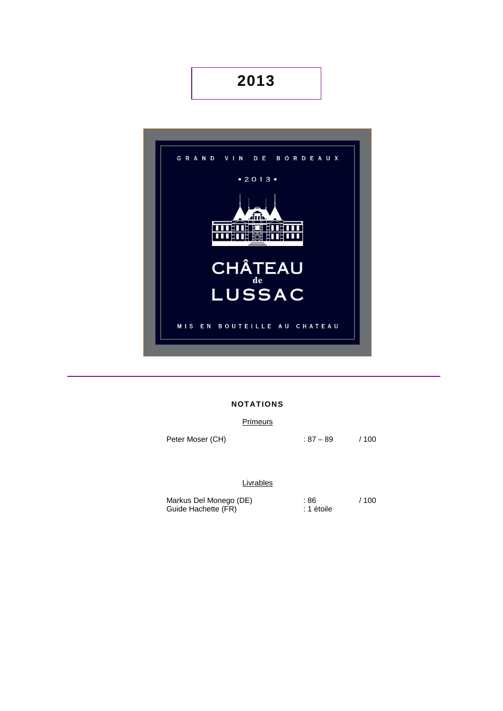# **2013**



## **NOTATIONS**

## **Primeurs**

Peter Moser (CH)  $\cdot 87 - 89$  / 100

## **Livrables**

Markus Del Monego (DE)  $\qquad \qquad$  : 86 / 100 Guide Hachette (FR) : 1 étoile